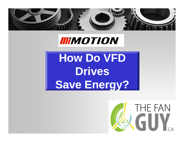

# **IIIIMOTION**

**How Do VFD Drives Save Energy?**

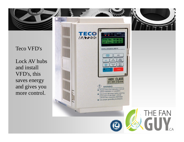

Lock AV hubs and install VFD's, this saves energy and gives you more control.

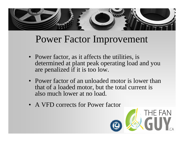

# Power Factor Im provement

- Power factor, as it affects the utilities, is determined at plant peak operating load and you are penalized if it is too low.
- Power factor of an unloaded motor is lower than that of a loaded motor, but the total current is also much lower at no load.
- A VFD corrects for Power factor

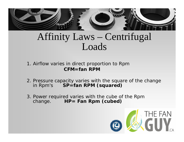

### Affinity Laws – Centrifugal Loads

- 1. Airflow varies in direct proportion to Rpn **CFM=fan RPM**
- 2. Pressure capacity varies with the square of the change in Rpm's **SP=fan RPM (squared)**
- 3. Power required varies with the cube of the Rpm change. **HP= Fan Rpm (cubed)** HP= Fan Rpm (cubed)

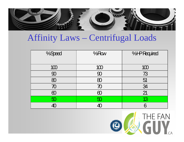

### Affinity Laws – Centrifugal Loads

| %Speed   | $%$ How             | %HPRequired |
|----------|---------------------|-------------|
| 100      | 100                 | 100         |
| 90       | 90                  | 73          |
| 80       | 80                  | 51          |
| 70       | $\overline{\cal O}$ | 34          |
| $\infty$ | $\infty$            | 21          |
| 50       | 50                  | 13          |
| 40       |                     | 6           |